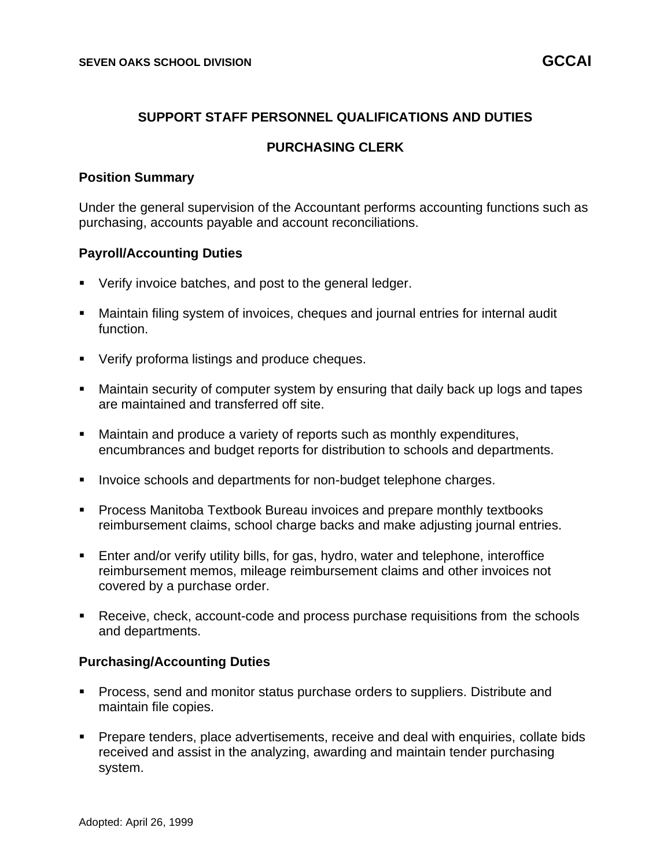## **SUPPORT STAFF PERSONNEL QUALIFICATIONS AND DUTIES**

## **PURCHASING CLERK**

#### **Position Summary**

Under the general supervision of the Accountant performs accounting functions such as purchasing, accounts payable and account reconciliations.

#### **Payroll/Accounting Duties**

- **Verify invoice batches, and post to the general ledger.**
- Maintain filing system of invoices, cheques and journal entries for internal audit function.
- Verify proforma listings and produce cheques.
- Maintain security of computer system by ensuring that daily back up logs and tapes are maintained and transferred off site.
- Maintain and produce a variety of reports such as monthly expenditures, encumbrances and budget reports for distribution to schools and departments.
- Invoice schools and departments for non-budget telephone charges.
- Process Manitoba Textbook Bureau invoices and prepare monthly textbooks reimbursement claims, school charge backs and make adjusting journal entries.
- **Enter and/or verify utility bills, for gas, hydro, water and telephone, interoffice** reimbursement memos, mileage reimbursement claims and other invoices not covered by a purchase order.
- Receive, check, account-code and process purchase requisitions from the schools and departments.

#### **Purchasing/Accounting Duties**

- Process, send and monitor status purchase orders to suppliers. Distribute and maintain file copies.
- Prepare tenders, place advertisements, receive and deal with enquiries, collate bids received and assist in the analyzing, awarding and maintain tender purchasing system.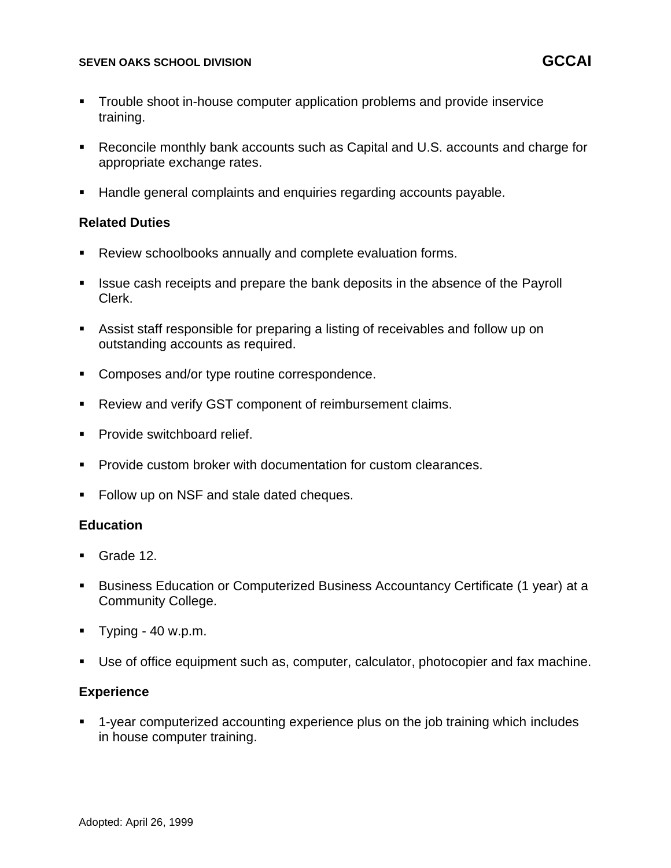#### **SEVEN OAKS SCHOOL DIVISION GCCAI**

- Trouble shoot in-house computer application problems and provide inservice training.
- Reconcile monthly bank accounts such as Capital and U.S. accounts and charge for appropriate exchange rates.
- Handle general complaints and enquiries regarding accounts payable.

### **Related Duties**

- Review schoolbooks annually and complete evaluation forms.
- Issue cash receipts and prepare the bank deposits in the absence of the Payroll Clerk.
- Assist staff responsible for preparing a listing of receivables and follow up on outstanding accounts as required.
- Composes and/or type routine correspondence.
- Review and verify GST component of reimbursement claims.
- Provide switchboard relief.
- Provide custom broker with documentation for custom clearances.
- Follow up on NSF and stale dated cheques.

### **Education**

- Grade 12.
- Business Education or Computerized Business Accountancy Certificate (1 year) at a Community College.
- $\blacksquare$  Typing 40 w.p.m.
- Use of office equipment such as, computer, calculator, photocopier and fax machine.

### **Experience**

1-year computerized accounting experience plus on the job training which includes in house computer training.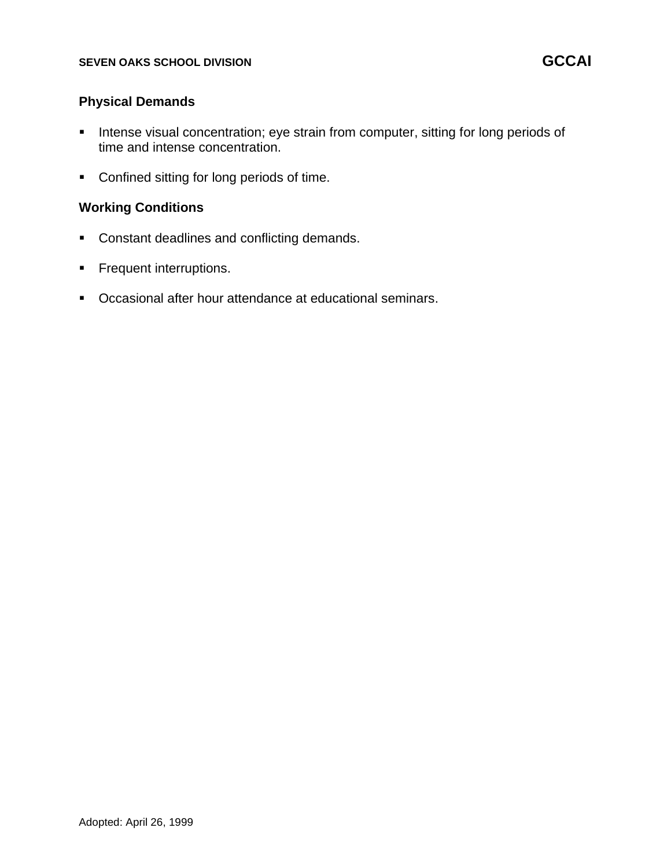## **Physical Demands**

- **EXECT** Intense visual concentration; eye strain from computer, sitting for long periods of time and intense concentration.
- Confined sitting for long periods of time.

# **Working Conditions**

- Constant deadlines and conflicting demands.
- **•** Frequent interruptions.
- Occasional after hour attendance at educational seminars.